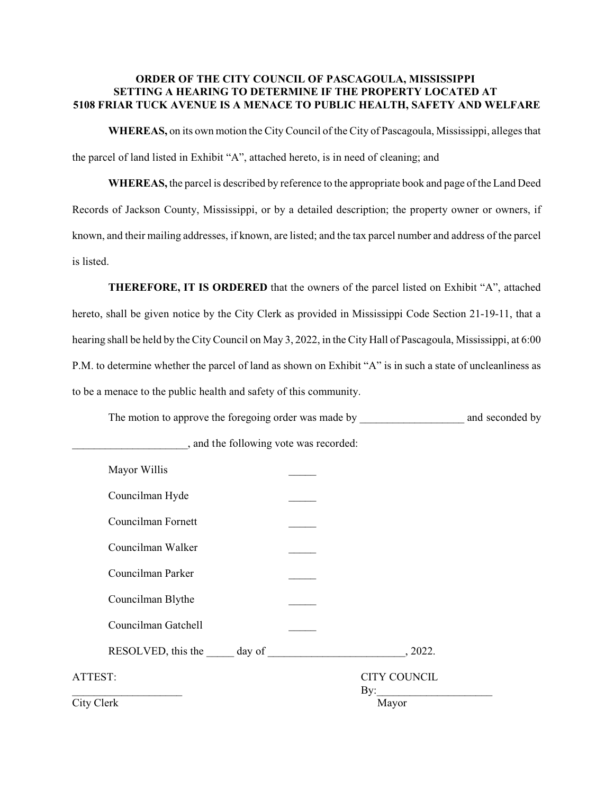## **ORDER OF THE CITY COUNCIL OF PASCAGOULA, MISSISSIPPI SETTING A HEARING TO DETERMINE IF THE PROPERTY LOCATED AT 5108 FRIAR TUCK AVENUE IS A MENACE TO PUBLIC HEALTH, SAFETY AND WELFARE**

**WHEREAS,** on its own motion the City Council of the City of Pascagoula, Mississippi, alleges that the parcel of land listed in Exhibit "A", attached hereto, is in need of cleaning; and

**WHEREAS,** the parcel is described by reference to the appropriate book and page of the Land Deed Records of Jackson County, Mississippi, or by a detailed description; the property owner or owners, if known, and their mailing addresses, if known, are listed; and the tax parcel number and address of the parcel is listed.

**THEREFORE, IT IS ORDERED** that the owners of the parcel listed on Exhibit "A", attached hereto, shall be given notice by the City Clerk as provided in Mississippi Code Section 21-19-11, that a hearing shall be held by the City Council on May 3, 2022, in the City Hall of Pascagoula, Mississippi, at 6:00 P.M. to determine whether the parcel of land as shown on Exhibit "A" is in such a state of uncleanliness as to be a menace to the public health and safety of this community.

The motion to approve the foregoing order was made by \_\_\_\_\_\_\_\_\_\_\_\_\_\_\_\_\_\_\_\_\_\_\_\_\_\_ and seconded by

| Mayor Willis        |                            |
|---------------------|----------------------------|
| Councilman Hyde     |                            |
| Councilman Fornett  |                            |
| Councilman Walker   |                            |
| Councilman Parker   |                            |
| Councilman Blythe   |                            |
| Councilman Gatchell |                            |
|                     | , 2022.                    |
| ATTEST:             | <b>CITY COUNCIL</b><br>By: |
| City Clerk          | Mayor                      |

\_\_\_\_\_\_\_\_\_\_\_\_\_\_\_\_\_\_\_\_\_, and the following vote was recorded: